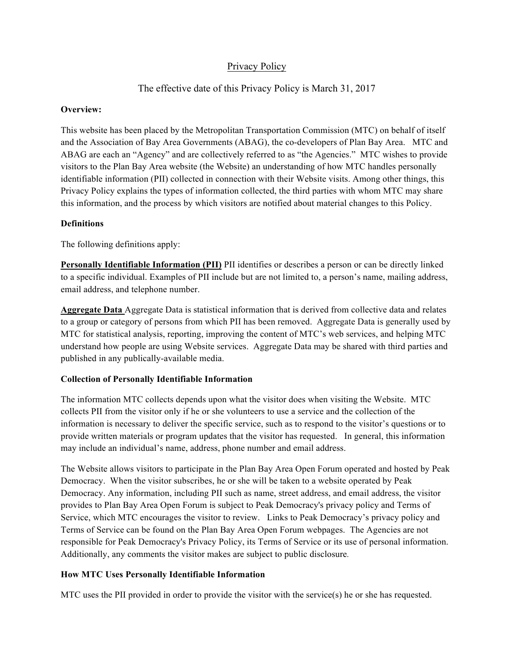# Privacy Policy

# The effective date of this Privacy Policy is March 31, 2017

#### **Overview:**

This website has been placed by the Metropolitan Transportation Commission (MTC) on behalf of itself and the Association of Bay Area Governments (ABAG), the co-developers of Plan Bay Area. MTC and ABAG are each an "Agency" and are collectively referred to as "the Agencies." MTC wishes to provide visitors to the Plan Bay Area website (the Website) an understanding of how MTC handles personally identifiable information (PII) collected in connection with their Website visits. Among other things, this Privacy Policy explains the types of information collected, the third parties with whom MTC may share this information, and the process by which visitors are notified about material changes to this Policy.

### **Definitions**

The following definitions apply:

**Personally Identifiable Information (PII)** PII identifies or describes a person or can be directly linked to a specific individual. Examples of PII include but are not limited to, a person's name, mailing address, email address, and telephone number.

**Aggregate Data** Aggregate Data is statistical information that is derived from collective data and relates to a group or category of persons from which PII has been removed. Aggregate Data is generally used by MTC for statistical analysis, reporting, improving the content of MTC's web services, and helping MTC understand how people are using Website services. Aggregate Data may be shared with third parties and published in any publically-available media.

#### **Collection of Personally Identifiable Information**

The information MTC collects depends upon what the visitor does when visiting the Website. MTC collects PII from the visitor only if he or she volunteers to use a service and the collection of the information is necessary to deliver the specific service, such as to respond to the visitor's questions or to provide written materials or program updates that the visitor has requested. In general, this information may include an individual's name, address, phone number and email address.

The Website allows visitors to participate in the Plan Bay Area Open Forum operated and hosted by Peak Democracy. When the visitor subscribes, he or she will be taken to a website operated by Peak Democracy. Any information, including PII such as name, street address, and email address, the visitor provides to Plan Bay Area Open Forum is subject to Peak Democracy's privacy policy and Terms of Service, which MTC encourages the visitor to review. Links to Peak Democracy's privacy policy and Terms of Service can be found on the Plan Bay Area Open Forum webpages. The Agencies are not responsible for Peak Democracy's Privacy Policy, its Terms of Service or its use of personal information. Additionally, any comments the visitor makes are subject to public disclosure*.*

## **How MTC Uses Personally Identifiable Information**

MTC uses the PII provided in order to provide the visitor with the service(s) he or she has requested.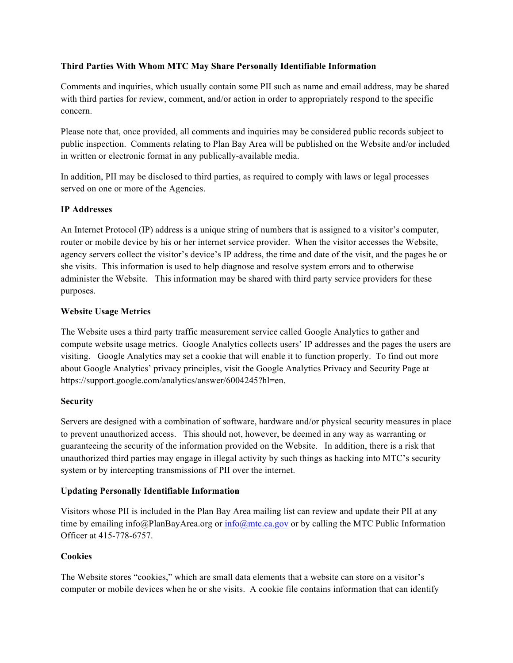### **Third Parties With Whom MTC May Share Personally Identifiable Information**

Comments and inquiries, which usually contain some PII such as name and email address, may be shared with third parties for review, comment, and/or action in order to appropriately respond to the specific concern.

Please note that, once provided, all comments and inquiries may be considered public records subject to public inspection. Comments relating to Plan Bay Area will be published on the Website and/or included in written or electronic format in any publically-available media.

In addition, PII may be disclosed to third parties, as required to comply with laws or legal processes served on one or more of the Agencies.

## **IP Addresses**

An Internet Protocol (IP) address is a unique string of numbers that is assigned to a visitor's computer, router or mobile device by his or her internet service provider. When the visitor accesses the Website, agency servers collect the visitor's device's IP address, the time and date of the visit, and the pages he or she visits. This information is used to help diagnose and resolve system errors and to otherwise administer the Website. This information may be shared with third party service providers for these purposes.

### **Website Usage Metrics**

The Website uses a third party traffic measurement service called Google Analytics to gather and compute website usage metrics. Google Analytics collects users' IP addresses and the pages the users are visiting. Google Analytics may set a cookie that will enable it to function properly. To find out more about Google Analytics' privacy principles, visit the Google Analytics Privacy and Security Page at https://support.google.com/analytics/answer/6004245?hl=en.

#### **Security**

Servers are designed with a combination of software, hardware and/or physical security measures in place to prevent unauthorized access. This should not, however, be deemed in any way as warranting or guaranteeing the security of the information provided on the Website. In addition, there is a risk that unauthorized third parties may engage in illegal activity by such things as hacking into MTC's security system or by intercepting transmissions of PII over the internet.

## **Updating Personally Identifiable Information**

Visitors whose PII is included in the Plan Bay Area mailing list can review and update their PII at any time by emailing info@PlanBayArea.org or info@mtc.ca.gov or by calling the MTC Public Information Officer at 415-778-6757.

#### **Cookies**

The Website stores "cookies," which are small data elements that a website can store on a visitor's computer or mobile devices when he or she visits. A cookie file contains information that can identify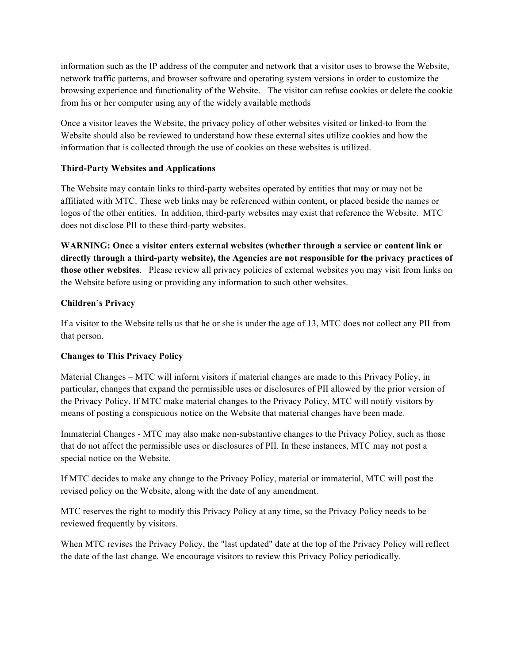information such as the IP address of the computer and network that a visitor uses to browse the Website, network traffic patterns, and browser software and operating system versions in order to customize the browsing experience and functionality of the Website. The visitor can refuse cookies or delete the cookie from his or her computer using any of the widely available methods

Once a visitor leaves the Website, the privacy policy of other websites visited or linked-to from the Website should also be reviewed to understand how these external sites utilize cookies and how the information that is collected through the use of cookies on these websites is utilized.

## **Third-Party Websites and Applications**

The Website may contain links to third-party websites operated by entities that may or may not be affiliated with MTC. These web links may be referenced within content, or placed beside the names or logos of the other entities. In addition, third-party websites may exist that reference the Website. MTC does not disclose PII to these third-party websites.

**WARNING: Once a visitor enters external websites (whether through a service or content link or directly through a third-party website), the Agencies are not responsible for the privacy practices of those other websites**. Please review all privacy policies of external websites you may visit from links on the Website before using or providing any information to such other websites.

### **Children's Privacy**

If a visitor to the Website tells us that he or she is under the age of 13, MTC does not collect any PII from that person.

## **Changes to This Privacy Policy**

Material Changes – MTC will inform visitors if material changes are made to this Privacy Policy, in particular, changes that expand the permissible uses or disclosures of PII allowed by the prior version of the Privacy Policy. If MTC make material changes to the Privacy Policy, MTC will notify visitors by means of posting a conspicuous notice on the Website that material changes have been made*.*

Immaterial Changes - MTC may also make non-substantive changes to the Privacy Policy, such as those that do not affect the permissible uses or disclosures of PII. In these instances, MTC may not post a special notice on the Website.

If MTC decides to make any change to the Privacy Policy, material or immaterial, MTC will post the revised policy on the Website, along with the date of any amendment.

MTC reserves the right to modify this Privacy Policy at any time, so the Privacy Policy needs to be reviewed frequently by visitors.

When MTC revises the Privacy Policy, the "last updated" date at the top of the Privacy Policy will reflect the date of the last change. We encourage visitors to review this Privacy Policy periodically.